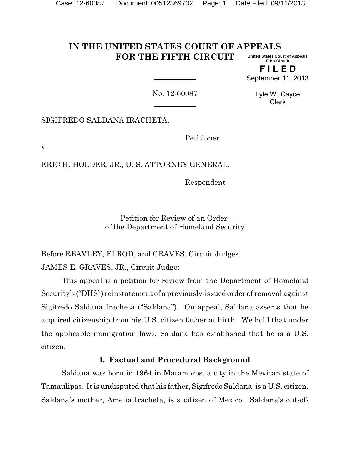#### **IN THE UNITED STATES COURT OF APPEALS FOR THE FIFTH CIRCUIT United States Court of Appeals Fifth Circuit**

**F I L E D** September 11, 2013

No. 12-60087

Lyle W. Cayce Clerk

SIGIFREDO SALDANA IRACHETA,

Petitioner

v.

ERIC H. HOLDER, JR., U. S. ATTORNEY GENERAL,

Respondent

Petition for Review of an Order of the Department of Homeland Security

Before REAVLEY, ELROD, and GRAVES, Circuit Judges. JAMES E. GRAVES, JR., Circuit Judge:

This appeal is a petition for review from the Department of Homeland Security's ("DHS") reinstatement of a previously-issued order of removal against Sigifredo Saldana Iracheta ("Saldana"). On appeal, Saldana asserts that he acquired citizenship from his U.S. citizen father at birth. We hold that under the applicable immigration laws, Saldana has established that he is a U.S. citizen.

### **I. Factual and Procedural Background**

Saldana was born in 1964 in Matamoros, a city in the Mexican state of Tamaulipas. It is undisputed that his father, Sigifredo Saldana, is a U.S. citizen. Saldana's mother, Amelia Iracheta, is a citizen of Mexico. Saldana's out-of-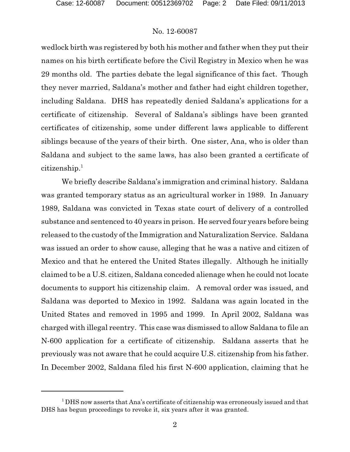wedlock birth was registered by both his mother and father when they put their names on his birth certificate before the Civil Registry in Mexico when he was 29 months old. The parties debate the legal significance of this fact. Though they never married, Saldana's mother and father had eight children together, including Saldana. DHS has repeatedly denied Saldana's applications for a certificate of citizenship. Several of Saldana's siblings have been granted certificates of citizenship, some under different laws applicable to different siblings because of the years of their birth. One sister, Ana, who is older than Saldana and subject to the same laws, has also been granted a certificate of  ${\rm citizenship.}^1$ 

We briefly describe Saldana's immigration and criminal history. Saldana was granted temporary status as an agricultural worker in 1989. In January 1989, Saldana was convicted in Texas state court of delivery of a controlled substance and sentenced to 40 years in prison. He served four years before being released to the custody of the Immigration and Naturalization Service. Saldana was issued an order to show cause, alleging that he was a native and citizen of Mexico and that he entered the United States illegally. Although he initially claimed to be a U.S. citizen, Saldana conceded alienage when he could not locate documents to support his citizenship claim. A removal order was issued, and Saldana was deported to Mexico in 1992. Saldana was again located in the United States and removed in 1995 and 1999. In April 2002, Saldana was charged with illegal reentry. This case was dismissed to allow Saldana to file an N-600 application for a certificate of citizenship. Saldana asserts that he previously was not aware that he could acquire U.S. citizenship from his father. In December 2002, Saldana filed his first N-600 application, claiming that he

<sup>&</sup>lt;sup>1</sup> DHS now asserts that Ana's certificate of citizenship was erroneously issued and that DHS has begun proceedings to revoke it, six years after it was granted.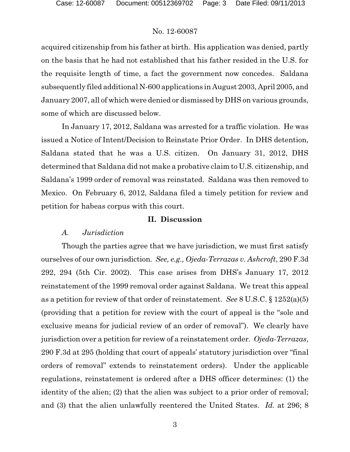acquired citizenship from his father at birth. His application was denied, partly on the basis that he had not established that his father resided in the U.S. for the requisite length of time, a fact the government now concedes. Saldana subsequently filed additional N-600 applications in August 2003, April 2005, and January 2007, all of which were denied or dismissed by DHS on various grounds, some of which are discussed below.

In January 17, 2012, Saldana was arrested for a traffic violation. He was issued a Notice of Intent/Decision to Reinstate Prior Order. In DHS detention, Saldana stated that he was a U.S. citizen. On January 31, 2012, DHS determined that Saldana did not make a probative claim to U.S. citizenship, and Saldana's 1999 order of removal was reinstated. Saldana was then removed to Mexico. On February 6, 2012, Saldana filed a timely petition for review and petition for habeas corpus with this court.

#### **II. Discussion**

### *A. Jurisdiction*

Though the parties agree that we have jurisdiction, we must first satisfy ourselves of our own jurisdiction*. See, e.g., Ojeda-Terrazas v. Ashcroft*, 290 F.3d 292, 294 (5th Cir. 2002). This case arises from DHS's January 17, 2012 reinstatement of the 1999 removal order against Saldana. We treat this appeal as a petition for review of that order of reinstatement. *See* 8 U.S.C. § 1252(a)(5) (providing that a petition for review with the court of appeal is the "sole and exclusive means for judicial review of an order of removal"). We clearly have jurisdiction over a petition for review of a reinstatement order. *Ojeda-Terrazas*, 290 F.3d at 295 (holding that court of appeals' statutory jurisdiction over "final orders of removal" extends to reinstatement orders). Under the applicable regulations, reinstatement is ordered after a DHS officer determines: (1) the identity of the alien; (2) that the alien was subject to a prior order of removal; and (3) that the alien unlawfully reentered the United States. *Id.* at 296; 8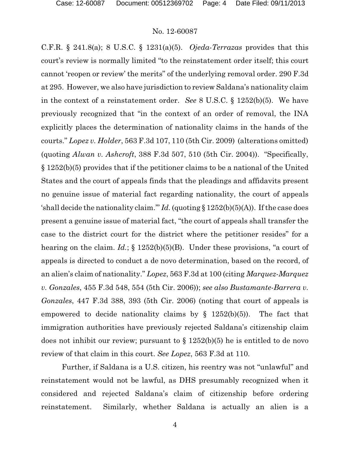C.F.R. § 241.8(a); 8 U.S.C. § 1231(a)(5). *Ojeda-Terrazas* provides that this court's review is normally limited "to the reinstatement order itself; this court cannot 'reopen or review' the merits" of the underlying removal order. 290 F.3d at 295. However, we also have jurisdiction to review Saldana's nationality claim in the context of a reinstatement order. *See* 8 U.S.C. § 1252(b)(5). We have previously recognized that "in the context of an order of removal, the INA explicitly places the determination of nationality claims in the hands of the courts." *Lopez v. Holder*, 563 F.3d 107, 110 (5th Cir. 2009) (alterations omitted) (quoting *Alwan v. Ashcroft*, 388 F.3d 507, 510 (5th Cir. 2004)). "Specifically, § 1252(b)(5) provides that if the petitioner claims to be a national of the United States and the court of appeals finds that the pleadings and affidavits present no genuine issue of material fact regarding nationality, the court of appeals 'shall decide the nationality claim.""  $Id$ . (quoting § 1252(b)(5)(A)). If the case does present a genuine issue of material fact, "the court of appeals shall transfer the case to the district court for the district where the petitioner resides" for a hearing on the claim. *Id.*; § 1252(b)(5)(B). Under these provisions, "a court of appeals is directed to conduct a de novo determination, based on the record, of an alien's claim of nationality." *Lopez*, 563 F.3d at 100 (citing *Marquez-Marquez v. Gonzales*, 455 F.3d 548, 554 (5th Cir. 2006)); *see also Bustamante-Barrera v. Gonzales*, 447 F.3d 388, 393 (5th Cir. 2006) (noting that court of appeals is empowered to decide nationality claims by  $\S$  1252(b)(5)). The fact that immigration authorities have previously rejected Saldana's citizenship claim does not inhibit our review; pursuant to § 1252(b)(5) he is entitled to de novo review of that claim in this court. *See Lopez*, 563 F.3d at 110.

Further, if Saldana is a U.S. citizen, his reentry was not "unlawful" and reinstatement would not be lawful, as DHS presumably recognized when it considered and rejected Saldana's claim of citizenship before ordering reinstatement. Similarly, whether Saldana is actually an alien is a

4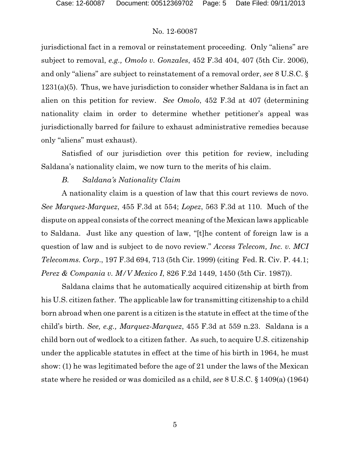jurisdictional fact in a removal or reinstatement proceeding. Only "aliens" are subject to removal, *e.g., Omolo v. Gonzales*, 452 F.3d 404, 407 (5th Cir. 2006), and only "aliens" are subject to reinstatement of a removal order, *see* 8 U.S.C. § 1231(a)(5). Thus, we have jurisdiction to consider whether Saldana is in fact an alien on this petition for review. *See Omolo*, 452 F.3d at 407 (determining nationality claim in order to determine whether petitioner's appeal was jurisdictionally barred for failure to exhaust administrative remedies because only "aliens" must exhaust).

Satisfied of our jurisdiction over this petition for review, including Saldana's nationality claim, we now turn to the merits of his claim.

# *B. Saldana's Nationality Claim*

A nationality claim is a question of law that this court reviews de novo. *See Marquez-Marquez*, 455 F.3d at 554; *Lopez*, 563 F.3d at 110. Much of the dispute on appeal consists of the correct meaning of the Mexican laws applicable to Saldana. Just like any question of law, "[t]he content of foreign law is a question of law and is subject to de novo review." *Access Telecom, Inc. v. MCI Telecomms. Corp*., 197 F.3d 694, 713 (5th Cir. 1999) (citing Fed. R. Civ. P. 44.1; *Perez & Compania v. M/V Mexico I*, 826 F.2d 1449, 1450 (5th Cir. 1987)).

Saldana claims that he automatically acquired citizenship at birth from his U.S. citizen father. The applicable law for transmitting citizenship to a child born abroad when one parent is a citizen is the statute in effect at the time of the child's birth. *See, e.g., Marquez-Marquez*, 455 F.3d at 559 n.23. Saldana is a child born out of wedlock to a citizen father. As such, to acquire U.S. citizenship under the applicable statutes in effect at the time of his birth in 1964, he must show: (1) he was legitimated before the age of 21 under the laws of the Mexican state where he resided or was domiciled as a child, *see* 8 U.S.C. § 1409(a) (1964)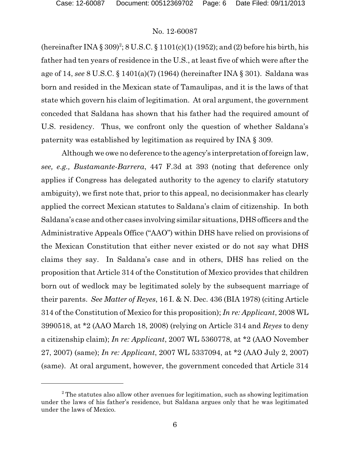(hereinafter INA § 309)<sup>2</sup>; 8 U.S.C. § 1101(c)(1) (1952); and (2) before his birth, his father had ten years of residence in the U.S., at least five of which were after the age of 14, *see* 8 U.S.C. § 1401(a)(7) (1964) (hereinafter INA § 301). Saldana was born and resided in the Mexican state of Tamaulipas, and it is the laws of that state which govern his claim of legitimation. At oral argument, the government conceded that Saldana has shown that his father had the required amount of U.S. residency. Thus, we confront only the question of whether Saldana's paternity was established by legitimation as required by INA § 309.

Although we owe no deference to the agency's interpretation of foreign law, *see, e.g., Bustamante-Barrera*, 447 F.3d at 393 (noting that deference only applies if Congress has delegated authority to the agency to clarify statutory ambiguity), we first note that, prior to this appeal, no decisionmaker has clearly applied the correct Mexican statutes to Saldana's claim of citizenship. In both Saldana's case and other cases involving similar situations, DHS officers and the Administrative Appeals Office ("AAO") within DHS have relied on provisions of the Mexican Constitution that either never existed or do not say what DHS claims they say. In Saldana's case and in others, DHS has relied on the proposition that Article 314 of the Constitution of Mexico provides that children born out of wedlock may be legitimated solely by the subsequent marriage of their parents. *See Matter of Reyes*, 16 I. & N. Dec. 436 (BIA 1978) (citing Article 314 of the Constitution of Mexico for this proposition); *In re: Applicant*, 2008 WL 3990518, at \*2 (AAO March 18, 2008) (relying on Article 314 and *Reyes* to deny a citizenship claim); *In re: Applicant*, 2007 WL 5360778, at \*2 (AAO November 27, 2007) (same); *In re: Applicant*, 2007 WL 5337094, at \*2 (AAO July 2, 2007) (same). At oral argument, however, the government conceded that Article 314

 $2$ <sup>2</sup> The statutes also allow other avenues for legitimation, such as showing legitimation under the laws of his father's residence, but Saldana argues only that he was legitimated under the laws of Mexico.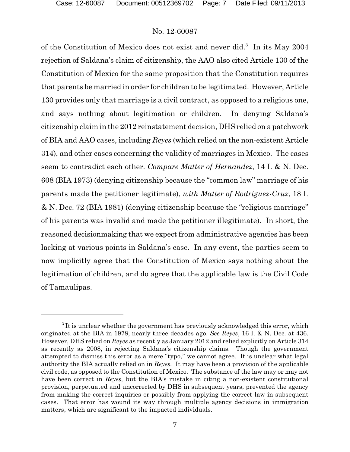of the Constitution of Mexico does not exist and never did.<sup>3</sup> In its May 2004 rejection of Saldana's claim of citizenship, the AAO also cited Article 130 of the Constitution of Mexico for the same proposition that the Constitution requires that parents be married in order for children to be legitimated. However, Article 130 provides only that marriage is a civil contract, as opposed to a religious one, and says nothing about legitimation or children. In denying Saldana's citizenship claim in the 2012 reinstatement decision, DHS relied on a patchwork of BIA and AAO cases, including *Reyes* (which relied on the non-existent Article 314), and other cases concerning the validity of marriages in Mexico. The cases seem to contradict each other. *Compare Matter of Hernandez*, 14 I. & N. Dec. 608 (BIA 1973) (denying citizenship because the "common law" marriage of his parents made the petitioner legitimate), *with Matter of Rodriguez-Cruz*, 18 I. & N. Dec. 72 (BIA 1981) (denying citizenship because the "religious marriage" of his parents was invalid and made the petitioner illegitimate). In short, the reasoned decisionmaking that we expect from administrative agencies has been lacking at various points in Saldana's case. In any event, the parties seem to now implicitly agree that the Constitution of Mexico says nothing about the legitimation of children, and do agree that the applicable law is the Civil Code of Tamaulipas.

 $3$  It is unclear whether the government has previously acknowledged this error, which originated at the BIA in 1978, nearly three decades ago. *See Reyes*, 16 I. & N. Dec. at 436. However, DHS relied on *Reyes* as recently as January 2012 and relied explicitly on Article 314 as recently as 2008, in rejecting Saldana's citizenship claims. Though the government attempted to dismiss this error as a mere "typo," we cannot agree. It is unclear what legal authority the BIA actually relied on in *Reyes.* It may have been a provision of the applicable civil code, as opposed to the Constitution of Mexico. The substance of the law may or may not have been correct in *Reyes,* but the BIA's mistake in citing a non-existent constitutional provision, perpetuated and uncorrected by DHS in subsequent years, prevented the agency from making the correct inquiries or possibly from applying the correct law in subsequent cases. That error has wound its way through multiple agency decisions in immigration matters, which are significant to the impacted individuals.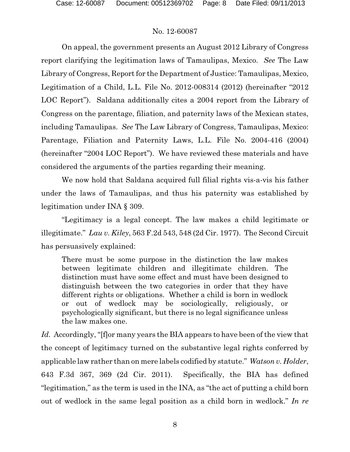On appeal, the government presents an August 2012 Library of Congress report clarifying the legitimation laws of Tamaulipas, Mexico. *See* The Law Library of Congress, Report for the Department of Justice: Tamaulipas, Mexico, Legitimation of a Child, L.L. File No. 2012-008314 (2012) (hereinafter "2012 LOC Report"). Saldana additionally cites a 2004 report from the Library of Congress on the parentage, filiation, and paternity laws of the Mexican states, including Tamaulipas. *See* The Law Library of Congress, Tamaulipas, Mexico: Parentage, Filiation and Paternity Laws, L.L. File No. 2004-416 (2004) (hereinafter "2004 LOC Report"). We have reviewed these materials and have considered the arguments of the parties regarding their meaning.

We now hold that Saldana acquired full filial rights vis-a-vis his father under the laws of Tamaulipas, and thus his paternity was established by legitimation under INA § 309.

"Legitimacy is a legal concept. The law makes a child legitimate or illegitimate." *Lau v. Kiley*, 563 F.2d 543, 548 (2d Cir. 1977). The Second Circuit has persuasively explained:

There must be some purpose in the distinction the law makes between legitimate children and illegitimate children. The distinction must have some effect and must have been designed to distinguish between the two categories in order that they have different rights or obligations. Whether a child is born in wedlock or out of wedlock may be sociologically, religiously, or psychologically significant, but there is no legal significance unless the law makes one.

*Id.* Accordingly, "[f]or many years the BIA appears to have been of the view that the concept of legitimacy turned on the substantive legal rights conferred by applicable law rather than on mere labels codified by statute." *Watson v. Holder*, 643 F.3d 367, 369 (2d Cir. 2011). Specifically, the BIA has defined "legitimation," as the term is used in the INA, as "the act of putting a child born out of wedlock in the same legal position as a child born in wedlock." *In re*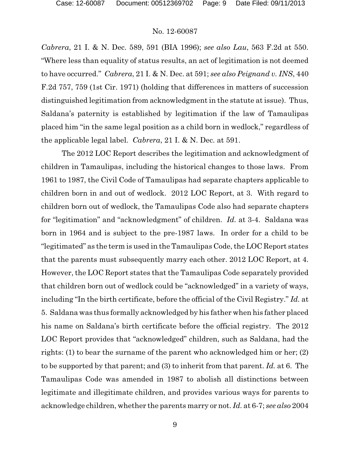*Cabrera*, 21 I. & N. Dec. 589, 591 (BIA 1996); *see also Lau*, 563 F.2d at 550. "Where less than equality of status results, an act of legitimation is not deemed to have occurred." *Cabrera*, 21 I. & N. Dec. at 591; *see also Peignand v. INS*, 440 F.2d 757, 759 (1st Cir. 1971) (holding that differences in matters of succession distinguished legitimation from acknowledgment in the statute at issue). Thus, Saldana's paternity is established by legitimation if the law of Tamaulipas placed him "in the same legal position as a child born in wedlock," regardless of the applicable legal label. *Cabrera*, 21 I. & N. Dec. at 591.

The 2012 LOC Report describes the legitimation and acknowledgment of children in Tamaulipas, including the historical changes to those laws. From 1961 to 1987, the Civil Code of Tamaulipas had separate chapters applicable to children born in and out of wedlock. 2012 LOC Report, at 3. With regard to children born out of wedlock, the Tamaulipas Code also had separate chapters for "legitimation" and "acknowledgment" of children. *Id.* at 3-4. Saldana was born in 1964 and is subject to the pre-1987 laws. In order for a child to be "legitimated" as the term is used in the Tamaulipas Code, the LOC Report states that the parents must subsequently marry each other. 2012 LOC Report, at 4. However, the LOC Report states that the Tamaulipas Code separately provided that children born out of wedlock could be "acknowledged" in a variety of ways, including "In the birth certificate, before the official of the Civil Registry." *Id.* at 5. Saldana was thus formally acknowledged by his father when his father placed his name on Saldana's birth certificate before the official registry. The 2012 LOC Report provides that "acknowledged" children, such as Saldana, had the rights: (1) to bear the surname of the parent who acknowledged him or her; (2) to be supported by that parent; and (3) to inherit from that parent. *Id.* at 6. The Tamaulipas Code was amended in 1987 to abolish all distinctions between legitimate and illegitimate children, and provides various ways for parents to acknowledge children, whether the parents marry or not. *Id.* at 6-7; *see also* 2004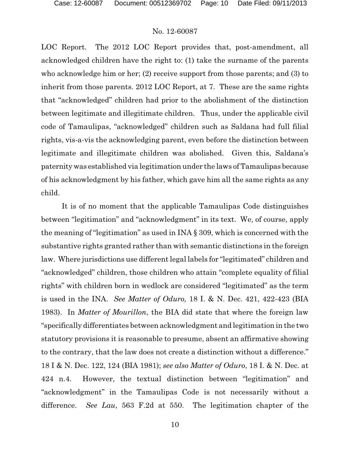LOC Report. The 2012 LOC Report provides that, post-amendment, all acknowledged children have the right to: (1) take the surname of the parents who acknowledge him or her; (2) receive support from those parents; and (3) to inherit from those parents. 2012 LOC Report, at 7. These are the same rights that "acknowledged" children had prior to the abolishment of the distinction between legitimate and illegitimate children. Thus, under the applicable civil code of Tamaulipas, "acknowledged" children such as Saldana had full filial rights, vis-a-vis the acknowledging parent, even before the distinction between legitimate and illegitimate children was abolished. Given this, Saldana's paternity was established via legitimation under the laws of Tamaulipas because of his acknowledgment by his father, which gave him all the same rights as any child.

It is of no moment that the applicable Tamaulipas Code distinguishes between "legitimation" and "acknowledgment" in its text. We, of course, apply the meaning of "legitimation" as used in INA § 309, which is concerned with the substantive rights granted rather than with semantic distinctions in the foreign law. Where jurisdictions use different legal labels for "legitimated" children and "acknowledged" children, those children who attain "complete equality of filial rights" with children born in wedlock are considered "legitimated" as the term is used in the INA. *See Matter of Oduro,* 18 I. & N. Dec. 421, 422-423 (BIA 1983). In *Matter of Mourillon*, the BIA did state that where the foreign law "specifically differentiates between acknowledgment and legitimation in the two statutory provisions it is reasonable to presume, absent an affirmative showing to the contrary, that the law does not create a distinction without a difference." 18 I & N. Dec. 122, 124 (BIA 1981); *see also Matter of Oduro*, 18 I. & N. Dec. at 424 n.4. However, the textual distinction between "legitimation" and "acknowledgment" in the Tamaulipas Code is not necessarily without a difference. *See Lau*, 563 F.2d at 550. The legitimation chapter of the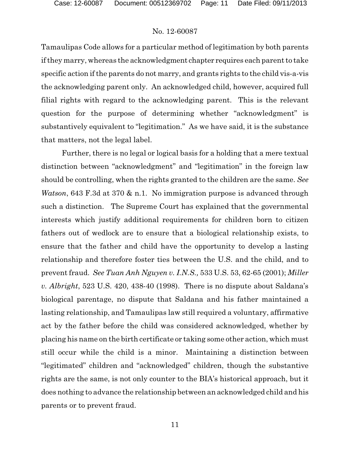Tamaulipas Code allows for a particular method of legitimation by both parents if they marry, whereas the acknowledgment chapter requires each parent to take specific action if the parents do not marry, and grants rights to the child vis-a-vis the acknowledging parent only. An acknowledged child, however, acquired full filial rights with regard to the acknowledging parent. This is the relevant question for the purpose of determining whether "acknowledgment" is substantively equivalent to "legitimation." As we have said, it is the substance that matters, not the legal label.

Further, there is no legal or logical basis for a holding that a mere textual distinction between "acknowledgment" and "legitimation" in the foreign law should be controlling, when the rights granted to the children are the same. *See Watson*, 643 F.3d at 370 & n.1. No immigration purpose is advanced through such a distinction. The Supreme Court has explained that the governmental interests which justify additional requirements for children born to citizen fathers out of wedlock are to ensure that a biological relationship exists, to ensure that the father and child have the opportunity to develop a lasting relationship and therefore foster ties between the U.S. and the child, and to prevent fraud. *See Tuan Anh Nguyen v. I.N.S.,* 533 U.S. 53, 62-65 (2001); *Miller v. Albright*, 523 U.S. 420, 438-40 (1998). There is no dispute about Saldana's biological parentage, no dispute that Saldana and his father maintained a lasting relationship, and Tamaulipas law still required a voluntary, affirmative act by the father before the child was considered acknowledged, whether by placing his name on the birth certificate or taking some other action, which must still occur while the child is a minor. Maintaining a distinction between "legitimated" children and "acknowledged" children, though the substantive rights are the same, is not only counter to the BIA's historical approach, but it does nothing to advance the relationship between an acknowledged child and his parents or to prevent fraud.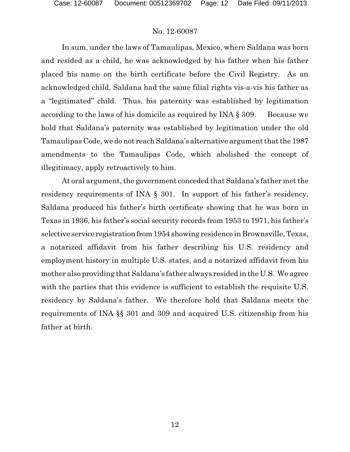In sum, under the laws of Tamaulipas, Mexico, where Saldana was born and resided as a child, he was acknowledged by his father when his father placed his name on the birth certificate before the Civil Registry. As an acknowledged child, Saldana had the same filial rights vis-a-vis his father as a "legitimated" child. Thus, his paternity was established by legitimation according to the laws of his domicile as required by INA  $\S$  309. Because we hold that Saldana's paternity was established by legitimation under the old Tamaulipas Code, we do not reach Saldana's alternative argument that the 1987 amendments to the Tamaulipas Code, which abolished the concept of illegitimacy, apply retroactively to him.

At oral argument, the government conceded that Saldana's father met the residency requirements of INA § 301. In support of his father's residency, Saldana produced his father's birth certificate showing that he was born in Texas in 1936, his father's social security records from 1953 to 1971, his father's selective service registration from 1954 showing residence in Brownsville, Texas, a notarized affidavit from his father describing his U.S. residency and employment history in multiple U.S. states, and a notarized affidavit from his mother also providing that Saldana's father always resided in the U.S. We agree with the parties that this evidence is sufficient to establish the requisite U.S. residency by Saldana's father. We therefore hold that Saldana meets the requirements of INA §§ 301 and 309 and acquired U.S. citizenship from his father at birth.